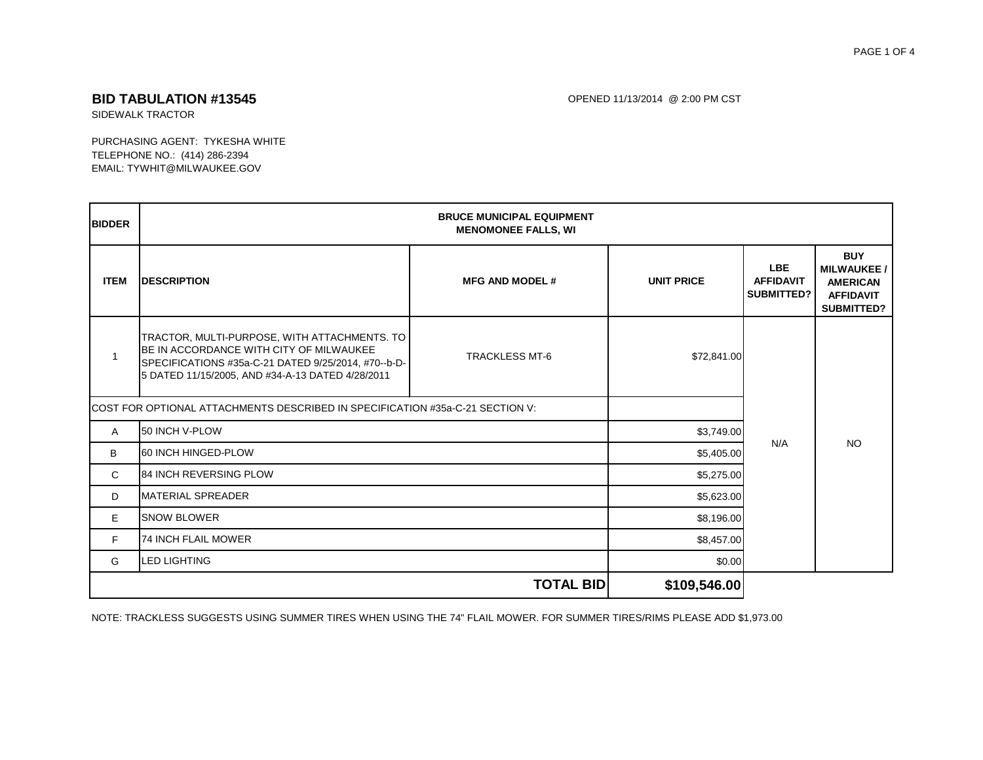## PAGE 1 OF 4

# **BID TABULATION #13545** OPENED 11/13/2014 @ 2:00 PM CST

SIDEWALK TRACTOR

PURCHASING AGENT: TYKESHA WHITE TELEPHONE NO.: (414) 286-2394 EMAIL: TYWHIT@MILWAUKEE.GOV

| <b>BIDDER</b>                                                                  | <b>BRUCE MUNICIPAL EQUIPMENT</b><br><b>MENOMONEE FALLS, WI</b>                                                                                                                                             |                       |                   |                                                     |                                                                                              |
|--------------------------------------------------------------------------------|------------------------------------------------------------------------------------------------------------------------------------------------------------------------------------------------------------|-----------------------|-------------------|-----------------------------------------------------|----------------------------------------------------------------------------------------------|
| <b>ITEM</b>                                                                    | <b>DESCRIPTION</b>                                                                                                                                                                                         | <b>MFG AND MODEL#</b> | <b>UNIT PRICE</b> | <b>LBE</b><br><b>AFFIDAVIT</b><br><b>SUBMITTED?</b> | <b>BUY</b><br><b>MILWAUKEE /</b><br><b>AMERICAN</b><br><b>AFFIDAVIT</b><br><b>SUBMITTED?</b> |
| $\mathbf{1}$                                                                   | TRACTOR, MULTI-PURPOSE, WITH ATTACHMENTS. TO<br><b>IBE IN ACCORDANCE WITH CITY OF MILWAUKEE</b><br>SPECIFICATIONS #35a-C-21 DATED 9/25/2014, #70--b-D-<br>5 DATED 11/15/2005, AND #34-A-13 DATED 4/28/2011 | <b>TRACKLESS MT-6</b> | \$72,841.00       |                                                     |                                                                                              |
| ICOST FOR OPTIONAL ATTACHMENTS DESCRIBED IN SPECIFICATION #35a-C-21 SECTION V: |                                                                                                                                                                                                            |                       |                   |                                                     |                                                                                              |
| A                                                                              | 50 INCH V-PLOW                                                                                                                                                                                             |                       | \$3,749.00        |                                                     | <b>NO</b>                                                                                    |
| B                                                                              | 60 INCH HINGED-PLOW                                                                                                                                                                                        | N/A<br>\$5,405.00     |                   |                                                     |                                                                                              |
| $\mathbf{C}$                                                                   | <b>84 INCH REVERSING PLOW</b><br>\$5,275.00                                                                                                                                                                |                       |                   |                                                     |                                                                                              |
| D                                                                              | <b>MATERIAL SPREADER</b>                                                                                                                                                                                   |                       | \$5,623.00        |                                                     |                                                                                              |
| E                                                                              | <b>SNOW BLOWER</b>                                                                                                                                                                                         |                       | \$8,196.00        |                                                     |                                                                                              |
| F                                                                              | <b>74 INCH FLAIL MOWER</b>                                                                                                                                                                                 |                       | \$8,457.00        |                                                     |                                                                                              |
| G                                                                              | <b>LED LIGHTING</b>                                                                                                                                                                                        |                       | \$0.00            |                                                     |                                                                                              |
|                                                                                |                                                                                                                                                                                                            | <b>TOTAL BID</b>      | \$109,546.00      |                                                     |                                                                                              |

NOTE: TRACKLESS SUGGESTS USING SUMMER TIRES WHEN USING THE 74" FLAIL MOWER. FOR SUMMER TIRES/RIMS PLEASE ADD \$1,973.00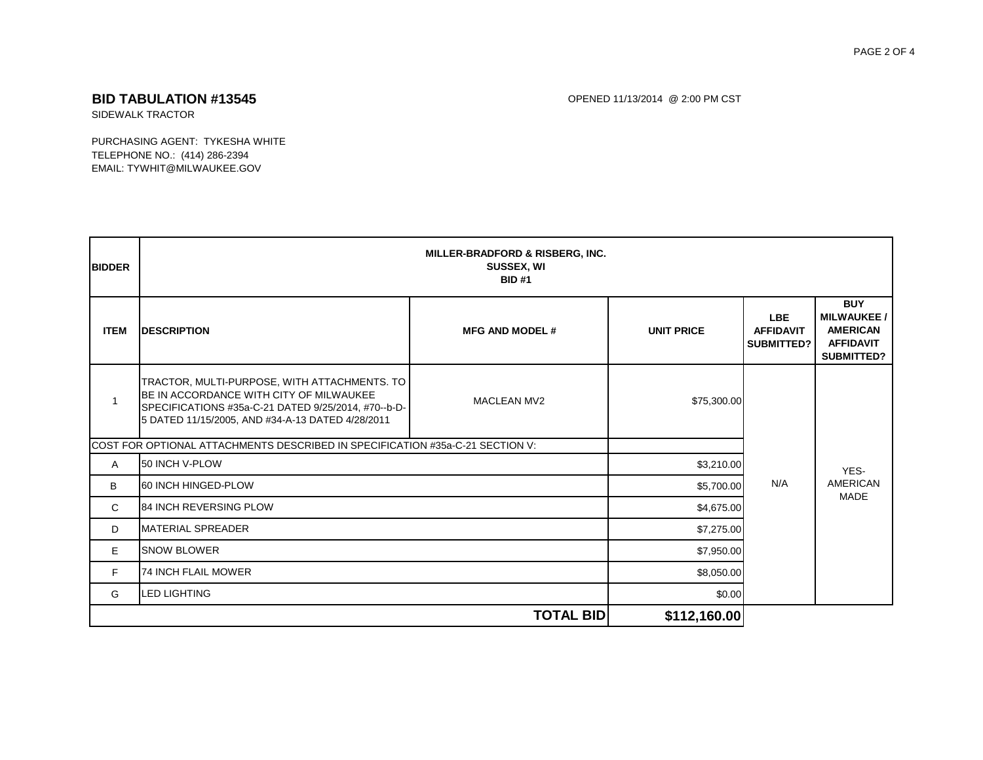## PAGE 2 OF 4

**BID TABULATION #13545** OPENED 11/13/2014 @ 2:00 PM CST

SIDEWALK TRACTOR

PURCHASING AGENT: TYKESHA WHITE TELEPHONE NO.: (414) 286-2394 EMAIL: TYWHIT@MILWAUKEE.GOV

| <b>BIDDER</b> |                                                                                                                                                                                                    | <b>MILLER-BRADFORD &amp; RISBERG, INC.</b><br><b>SUSSEX, WI</b><br><b>BID#1</b> |                   |                                                     |                                                                                      |
|---------------|----------------------------------------------------------------------------------------------------------------------------------------------------------------------------------------------------|---------------------------------------------------------------------------------|-------------------|-----------------------------------------------------|--------------------------------------------------------------------------------------|
| <b>ITEM</b>   | <b>DESCRIPTION</b>                                                                                                                                                                                 | <b>MFG AND MODEL#</b>                                                           | <b>UNIT PRICE</b> | <b>LBE</b><br><b>AFFIDAVIT</b><br><b>SUBMITTED?</b> | <b>BUY</b><br><b>MILWAUKEE/</b><br><b>AMERICAN</b><br><b>AFFIDAVIT</b><br>SUBMITTED? |
|               | TRACTOR, MULTI-PURPOSE, WITH ATTACHMENTS. TO<br>BE IN ACCORDANCE WITH CITY OF MILWAUKEE<br>SPECIFICATIONS #35a-C-21 DATED 9/25/2014, #70--b-D-<br>5 DATED 11/15/2005, AND #34-A-13 DATED 4/28/2011 | <b>MACLEAN MV2</b>                                                              | \$75,300.00       |                                                     |                                                                                      |
|               | ICOST FOR OPTIONAL ATTACHMENTS DESCRIBED IN SPECIFICATION #35a-C-21 SECTION V:                                                                                                                     |                                                                                 | N/A               | YES-<br><b>AMERICAN</b><br><b>MADE</b>              |                                                                                      |
| A             | 50 INCH V-PLOW                                                                                                                                                                                     |                                                                                 |                   |                                                     | \$3,210.00                                                                           |
| B             | 60 INCH HINGED-PLOW                                                                                                                                                                                |                                                                                 |                   |                                                     | \$5,700.00                                                                           |
| C.            | <b>84 INCH REVERSING PLOW</b><br>\$4,675.00<br><b>MATERIAL SPREADER</b><br>\$7,275.00                                                                                                              |                                                                                 |                   |                                                     |                                                                                      |
| D             |                                                                                                                                                                                                    |                                                                                 |                   |                                                     |                                                                                      |
| E             | <b>SNOW BLOWER</b>                                                                                                                                                                                 |                                                                                 | \$7,950.00        |                                                     |                                                                                      |
| F             | <b>74 INCH FLAIL MOWER</b>                                                                                                                                                                         |                                                                                 | \$8,050.00        |                                                     |                                                                                      |
| G             | <b>LED LIGHTING</b>                                                                                                                                                                                |                                                                                 | \$0.00            |                                                     |                                                                                      |
|               |                                                                                                                                                                                                    | <b>TOTAL BID</b>                                                                | \$112,160.00      |                                                     |                                                                                      |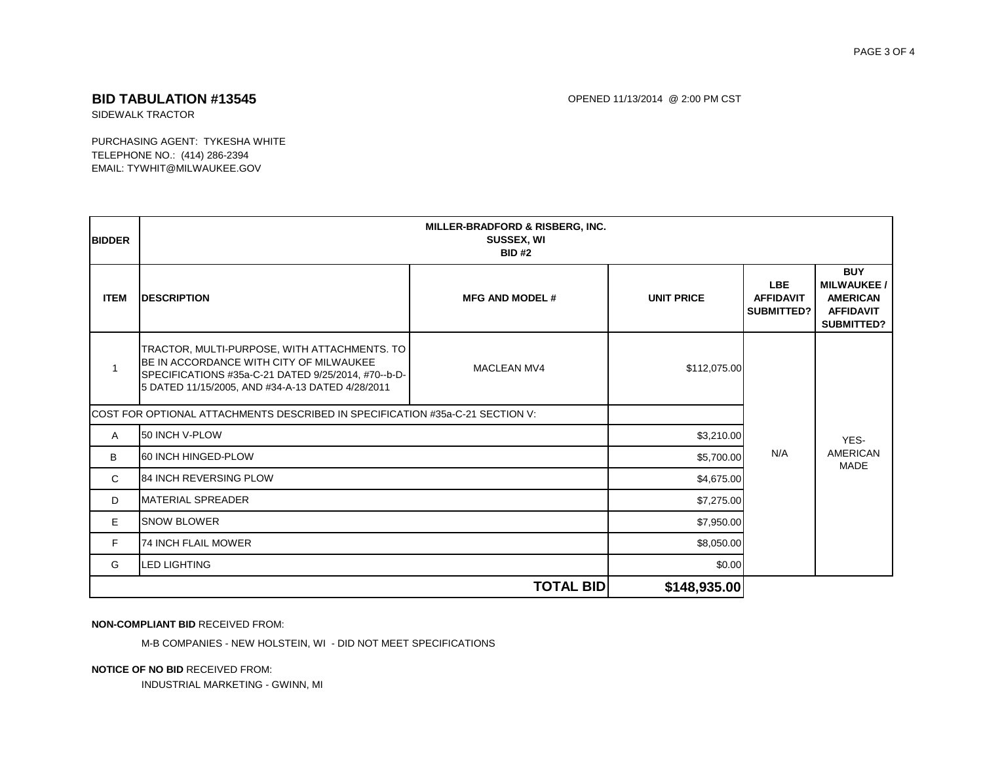## **BID TABULATION #13545 CONSERVERSITY OF A SUBSET AND TABULATION #13545** OPENED 11/13/2014 @ 2:00 PM CST

SIDEWALK TRACTOR

PURCHASING AGENT: TYKESHA WHITE TELEPHONE NO.: (414) 286-2394 EMAIL: TYWHIT@MILWAUKEE.GOV

| <b>BIDDER</b>                                                                 | <b>MILLER-BRADFORD &amp; RISBERG, INC.</b><br><b>SUSSEX, WI</b><br><b>BID#2</b>                                                                                                                    |                       |                   |                                              |                                                                                       |
|-------------------------------------------------------------------------------|----------------------------------------------------------------------------------------------------------------------------------------------------------------------------------------------------|-----------------------|-------------------|----------------------------------------------|---------------------------------------------------------------------------------------|
| <b>ITEM</b>                                                                   | <b>DESCRIPTION</b>                                                                                                                                                                                 | <b>MFG AND MODEL#</b> | <b>UNIT PRICE</b> | <b>LBE</b><br><b>AFFIDAVIT</b><br>SUBMITTED? | <b>BUY</b><br><b>MILWAUKEE /</b><br><b>AMERICAN</b><br><b>AFFIDAVIT</b><br>SUBMITTED? |
|                                                                               | TRACTOR, MULTI-PURPOSE, WITH ATTACHMENTS. TO<br>BE IN ACCORDANCE WITH CITY OF MILWAUKEE<br>SPECIFICATIONS #35a-C-21 DATED 9/25/2014, #70--b-D-<br>5 DATED 11/15/2005, AND #34-A-13 DATED 4/28/2011 | MACLEAN MV4           | \$112,075.00      |                                              |                                                                                       |
| COST FOR OPTIONAL ATTACHMENTS DESCRIBED IN SPECIFICATION #35a-C-21 SECTION V: |                                                                                                                                                                                                    |                       |                   |                                              |                                                                                       |
| Α                                                                             | 50 INCH V-PLOW                                                                                                                                                                                     |                       |                   | \$3,210.00                                   | YES-                                                                                  |
| B                                                                             | 60 INCH HINGED-PLOW                                                                                                                                                                                |                       | \$5,700.00        | N/A                                          | <b>AMERICAN</b><br><b>MADE</b>                                                        |
| C                                                                             | <b>84 INCH REVERSING PLOW</b>                                                                                                                                                                      |                       | \$4,675.00        |                                              |                                                                                       |
| D                                                                             | <b>MATERIAL SPREADER</b>                                                                                                                                                                           |                       | \$7,275.00        |                                              |                                                                                       |
| E                                                                             | <b>SNOW BLOWER</b>                                                                                                                                                                                 |                       | \$7,950.00        |                                              |                                                                                       |
| F                                                                             | <b>74 INCH FLAIL MOWER</b>                                                                                                                                                                         |                       | \$8,050.00        |                                              |                                                                                       |
| G                                                                             | <b>LED LIGHTING</b>                                                                                                                                                                                |                       | \$0.00            |                                              |                                                                                       |
|                                                                               |                                                                                                                                                                                                    | <b>TOTAL BID</b>      | \$148,935.00      |                                              |                                                                                       |

## **NON-COMPLIANT BID** RECEIVED FROM:

M-B COMPANIES - NEW HOLSTEIN, WI - DID NOT MEET SPECIFICATIONS

### **NOTICE OF NO BID** RECEIVED FROM:

INDUSTRIAL MARKETING - GWINN, MI